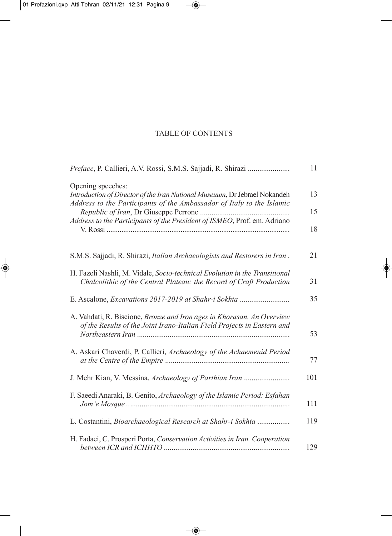$\color{red}\blacklozenge$ 

# TABLE OF CONTENTS

 $\overline{\bullet}$ 

 $\overline{\phantom{a}}$ 

 $\Rightarrow$ 

|                                                                                                                                                   | 11  |
|---------------------------------------------------------------------------------------------------------------------------------------------------|-----|
| Opening speeches:<br>Introduction of Director of the Iran National Museuum, Dr Jebrael Nokandeh                                                   | 13  |
| Address to the Participants of the Ambassador of Italy to the Islamic                                                                             | 15  |
| Address to the Participants of the President of ISMEO, Prof. em. Adriano                                                                          | 18  |
| S.M.S. Sajjadi, R. Shirazi, Italian Archaeologists and Restorers in Iran.                                                                         | 21  |
| H. Fazeli Nashli, M. Vidale, Socio-technical Evolution in the Transitional<br>Chalcolithic of the Central Plateau: the Record of Craft Production | 31  |
| E. Ascalone, Excavations 2017-2019 at Shahr-i Sokhta                                                                                              | 35  |
| A. Vahdati, R. Biscione, Bronze and Iron ages in Khorasan. An Overview<br>of the Results of the Joint Irano-Italian Field Projects in Eastern and | 53  |
| A. Askari Chaverdi, P. Callieri, Archaeology of the Achaemenid Period                                                                             | 77  |
| J. Mehr Kian, V. Messina, Archaeology of Parthian Iran                                                                                            | 101 |
| F. Saeedi Anaraki, B. Genito, Archaeology of the Islamic Period: Esfahan                                                                          | 111 |
| L. Costantini, Bioarchaeological Research at Shahr-i Sokhta                                                                                       | 119 |
| H. Fadaei, C. Prosperi Porta, Conservation Activities in Iran. Cooperation                                                                        | 129 |

◈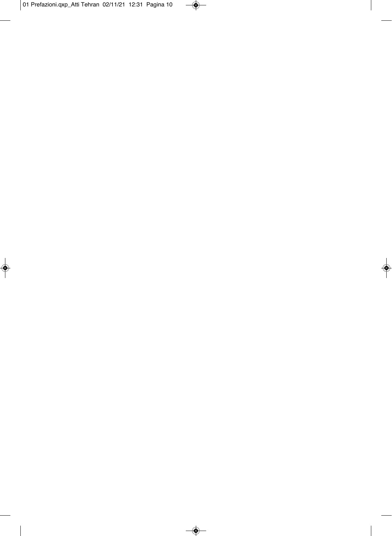01 Prefazioni.qxp\_Atti Tehran 02/11/21 12:31 Pagina 10

♦

 $\overline{\bullet}$ 

◈

 $\overline{\phantom{a}}$ 

 $\Rightarrow$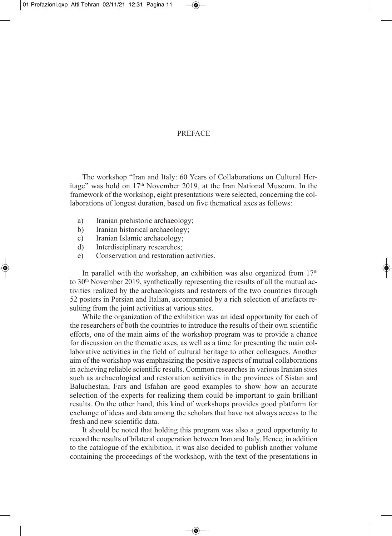## PREFACE

The workshop "Iran and Italy: 60 Years of Collaborations on Cultural Heritage" was hold on 17<sup>th</sup> November 2019, at the Iran National Museum. In the framework of the workshop, eight presentations were selected, concerning the collaborations of longest duration, based on five thematical axes as follows:

- a) Iranian prehistoric archaeology;
- b) Iranian historical archaeology;
- c) Iranian Islamic archaeology;
- d) Interdisciplinary researches;
- e) Conservation and restoration activities.

In parallel with the workshop, an exhibition was also organized from  $17<sup>th</sup>$ to 30<sup>th</sup> November 2019, synthetically representing the results of all the mutual activities realized by the archaeologists and restorers of the two countries through 52 posters in Persian and Italian, accompanied by a rich selection of artefacts resulting from the joint activities at various sites.

While the organization of the exhibition was an ideal opportunity for each of the researchers of both the countries to introduce the results of their own scientific efforts, one of the main aims of the workshop program was to provide a chance for discussion on the thematic axes, as well as a time for presenting the main collaborative activities in the field of cultural heritage to other colleagues. Another aim of the workshop was emphasizing the positive aspects of mutual collaborations in achieving reliable scientific results. Common researches in various Iranian sites such as archaeological and restoration activities in the provinces of Sistan and Baluchestan, Fars and Isfahan are good examples to show how an accurate selection of the experts for realizing them could be important to gain brilliant results. On the other hand, this kind of workshops provides good platform for exchange of ideas and data among the scholars that have not always access to the fresh and new scientific data.

It should be noted that holding this program was also a good opportunity to record the results of bilateral cooperation between Iran and Italy. Hence, in addition to the catalogue of the exhibition, it was also decided to publish another volume containing the proceedings of the workshop, with the text of the presentations in

◈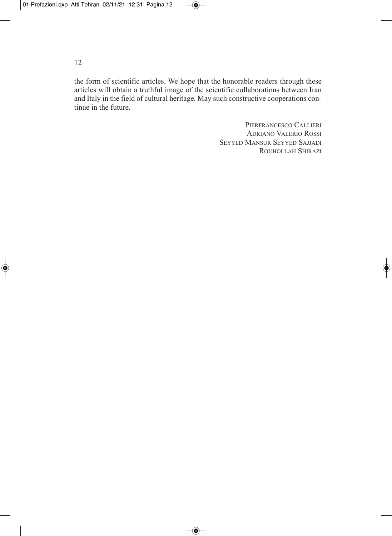## 12

the form of scientific articles. We hope that the honorable readers through these articles will obtain a truthful image of the scientific collaborations between Iran and Italy in the field of cultural heritage. May such constructive cooperations continue in the future.

◈

◈

PIERFRANCESCO CALLIERI ADRIANO VALERIO ROSSI SEYYED MANSUR SEYYED SAJJADI ROUHOLLAH SHIRAZI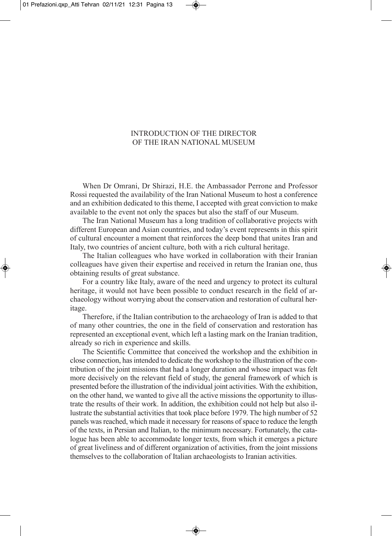## INTRODUCTION OF THE DIRECTOR OF THE IRAN NATIONAL MUSEUM

When Dr Omrani, Dr Shirazi, H.E. the Ambassador Perrone and Professor Rossi requested the availability of the Iran National Museum to host a conference and an exhibition dedicated to this theme, I accepted with great conviction to make available to the event not only the spaces but also the staff of our Museum.

The Iran National Museum has a long tradition of collaborative projects with different European and Asian countries, and today's event represents in this spirit of cultural encounter a moment that reinforces the deep bond that unites Iran and Italy, two countries of ancient culture, both with a rich cultural heritage.

The Italian colleagues who have worked in collaboration with their Iranian colleagues have given their expertise and received in return the Iranian one, thus obtaining results of great substance.

For a country like Italy, aware of the need and urgency to protect its cultural heritage, it would not have been possible to conduct research in the field of archaeology without worrying about the conservation and restoration of cultural heritage.

Therefore, if the Italian contribution to the archaeology of Iran is added to that of many other countries, the one in the field of conservation and restoration has represented an exceptional event, which left a lasting mark on the Iranian tradition, already so rich in experience and skills.

The Scientific Committee that conceived the workshop and the exhibition in close connection, has intended to dedicate the workshop to the illustration of the contribution of the joint missions that had a longer duration and whose impact was felt more decisively on the relevant field of study, the general framework of which is presented before the illustration of the individual joint activities. With the exhibition, on the other hand, we wanted to give all the active missions the opportunity to illustrate the results of their work. In addition, the exhibition could not help but also illustrate the substantial activities that took place before 1979. The high number of 52 panels was reached, which made it necessary for reasons of space to reduce the length of the texts, in Persian and Italian, to the minimum necessary. Fortunately, the catalogue has been able to accommodate longer texts, from which it emerges a picture of great liveliness and of different organization of activities, from the joint missions themselves to the collaboration of Italian archaeologists to Iranian activities.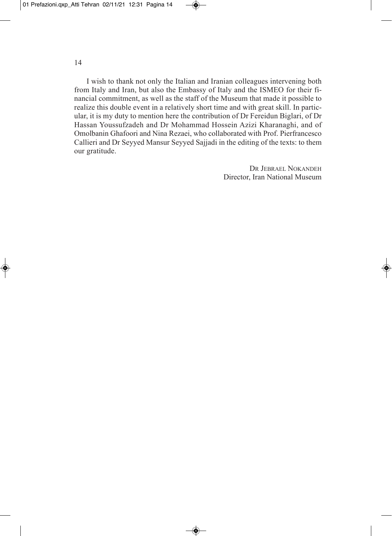#### 14

I wish to thank not only the Italian and Iranian colleagues intervening both from Italy and Iran, but also the Embassy of Italy and the ISMEO for their financial commitment, as well as the staff of the Museum that made it possible to realize this double event in a relatively short time and with great skill. In particular, it is my duty to mention here the contribution of Dr Fereidun Biglari, of Dr Hassan Youssufzadeh and Dr Mohammad Hossein Azizi Kharanaghi, and of Omolbanin Ghafoori and Nina Rezaei, who collaborated with Prof. Pierfrancesco Callieri and Dr Seyyed Mansur Seyyed Sajjadi in the editing of the texts: to them our gratitude.

◈

DR JEBRAEL NOKANDEH Director, Iran National Museum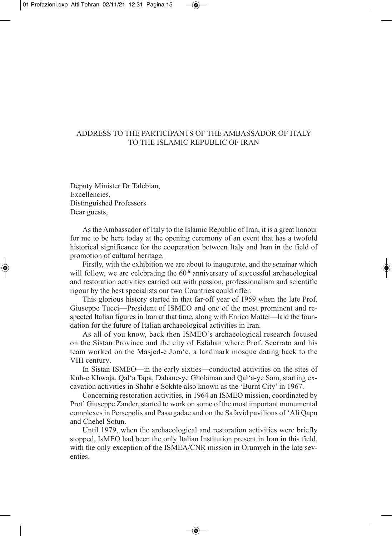## ADDRESS TO THE PARTICIPANTS OF THE AMBASSADOR OF ITALY TO THE ISLAMIC REPUBLIC OF IRAN

Deputy Minister Dr Talebian, Excellencies, Distinguished Professors Dear guests,

As the Ambassador of Italy to the Islamic Republic of Iran, it is a great honour for me to be here today at the opening ceremony of an event that has a twofold historical significance for the cooperation between Italy and Iran in the field of promotion of cultural heritage.

Firstly, with the exhibition we are about to inaugurate, and the seminar which will follow, we are celebrating the  $60<sup>th</sup>$  anniversary of successful archaeological and restoration activities carried out with passion, professionalism and scientific rigour by the best specialists our two Countries could offer.

This glorious history started in that far-off year of 1959 when the late Prof. Giuseppe Tucci—President of ISMEO and one of the most prominent and respected Italian figures in Iran at that time, along with Enrico Mattei—laid the foundation for the future of Italian archaeological activities in Iran.

As all of you know, back then ISMEO's archaeological research focused on the Sistan Province and the city of Esfahan where Prof. Scerrato and his team worked on the Masjed-e Jom'e, a landmark mosque dating back to the VIII century.

In Sistan ISMEO—in the early sixties—conducted activities on the sites of Kuh-e Khwaja, Qal'a Tapa, Dahane-ye Gholaman and Qal'a-ye Sam, starting excavation activities in Shahr-e Sokhte also known as the 'Burnt City' in 1967.

Concerning restoration activities, in 1964 an ISMEO mission, coordinated by Prof. Giuseppe Zander, started to work on some of the most important monumental complexes in Persepolis and Pasargadae and on the Safavid pavilions of 'Ali Qapu and Chehel Sotun.

Until 1979, when the archaeological and restoration activities were briefly stopped, IsMEO had been the only Italian Institution present in Iran in this field, with the only exception of the ISMEA/CNR mission in Orumyeh in the late seventies.

◈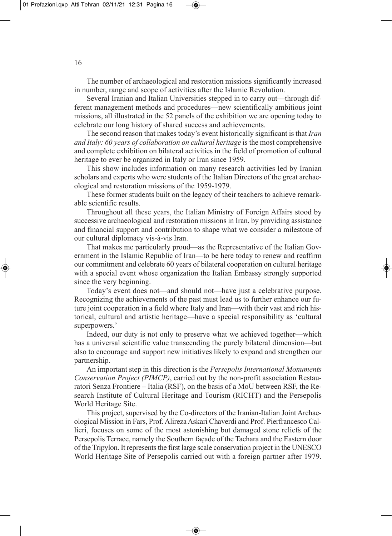The number of archaeological and restoration missions significantly increased in number, range and scope of activities after the Islamic Revolution.

Several Iranian and Italian Universities stepped in to carry out—through different management methods and procedures—new scientifically ambitious joint missions, all illustrated in the 52 panels of the exhibition we are opening today to celebrate our long history of shared success and achievements.

The second reason that makes today's event historically significant is that *Iran and Italy: 60 years of collaboration on cultural heritage* is the most comprehensive and complete exhibition on bilateral activities in the field of promotion of cultural heritage to ever be organized in Italy or Iran since 1959.

This show includes information on many research activities led by Iranian scholars and experts who were students of the Italian Directors of the great archaeological and restoration missions of the 1959-1979.

These former students built on the legacy of their teachers to achieve remarkable scientific results.

Throughout all these years, the Italian Ministry of Foreign Affairs stood by successive archaeological and restoration missions in Iran, by providing assistance and financial support and contribution to shape what we consider a milestone of our cultural diplomacy vis-à-vis Iran.

That makes me particularly proud—as the Representative of the Italian Government in the Islamic Republic of Iran—to be here today to renew and reaffirm our commitment and celebrate 60 years of bilateral cooperation on cultural heritage with a special event whose organization the Italian Embassy strongly supported since the very beginning.

Today's event does not—and should not—have just a celebrative purpose. Recognizing the achievements of the past must lead us to further enhance our future joint cooperation in a field where Italy and Iran—with their vast and rich historical, cultural and artistic heritage—have a special responsibility as 'cultural superpowers.'

Indeed, our duty is not only to preserve what we achieved together—which has a universal scientific value transcending the purely bilateral dimension—but also to encourage and support new initiatives likely to expand and strengthen our partnership.

An important step in this direction is the *Persepolis International Monuments Conservation Project (PIMCP)*, carried out by the non-profit association Restauratori Senza Frontiere – Italia (RSF), on the basis of a MoU between RSF, the Research Institute of Cultural Heritage and Tourism (RICHT) and the Persepolis World Heritage Site.

This project, supervised by the Co-directors of the Iranian-Italian Joint Archaeological Mission in Fars, Prof. Alireza Askari Chaverdi and Prof. Pierfrancesco Callieri, focuses on some of the most astonishing but damaged stone reliefs of the Persepolis Terrace, namely the Southern façade of the Tachara and the Eastern door of the Tripylon. It represents the first large scale conservation project in the UNESCO World Heritage Site of Persepolis carried out with a foreign partner after 1979.

16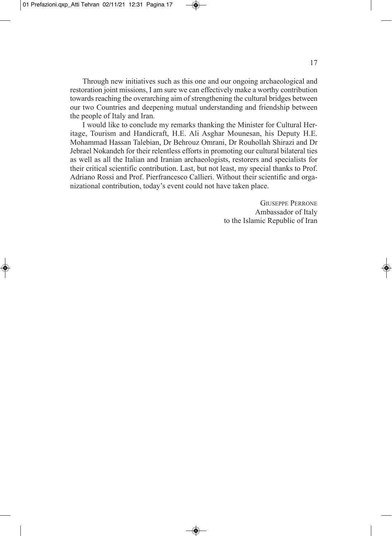Through new initiatives such as this one and our ongoing archaeological and restoration joint missions, I am sure we can effectively make a worthy contribution towards reaching the overarching aim of strengthening the cultural bridges between our two Countries and deepening mutual understanding and friendship between the people of Italy and Iran.

I would like to conclude my remarks thanking the Minister for Cultural Heritage, Tourism and Handicraft, H.E. Ali Asghar Mounesan, his Deputy H.E. Mohammad Hassan Talebian, Dr Behrouz Omrani, Dr Rouhollah Shirazi and Dr Jebrael Nokandeh for their relentless efforts in promoting our cultural bilateral ties as well as all the Italian and Iranian archaeologists, restorers and specialists for their critical scientific contribution. Last, but not least, my special thanks to Prof. Adriano Rossi and Prof. Pierfrancesco Callieri. Without their scientific and organizational contribution, today's event could not have taken place.

◈

GIUSEPPE PERRONE Ambassador of Italy to the Islamic Republic of Iran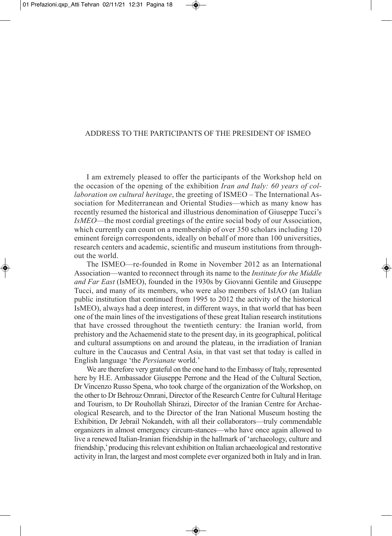## ADDRESS TO THE PARTICIPANTS OF THE PRESIDENT OF ISMEO

I am extremely pleased to offer the participants of the Workshop held on the occasion of the opening of the exhibition *Iran and Italy: 60 years of collaboration on cultural heritage*, the greeting of ISMEO – The International Association for Mediterranean and Oriental Studies—which as many know has recently resumed the historical and illustrious denomination of Giuseppe Tucci's *IsMEO*—the most cordial greetings of the entire social body of our Association, which currently can count on a membership of over 350 scholars including 120 eminent foreign correspondents, ideally on behalf of more than 100 universities, research centers and academic, scientific and museum institutions from throughout the world.

The ISMEO—re-founded in Rome in November 2012 as an International Association—wanted to reconnect through its name to the *Institute for the Middle and Far East* (IsMEO), founded in the 1930s by Giovanni Gentile and Giuseppe Tucci, and many of its members, who were also members of IsIAO (an Italian public institution that continued from 1995 to 2012 the activity of the historical IsMEO), always had a deep interest, in different ways, in that world that has been one of the main lines of the investigations of these great Italian research institutions that have crossed throughout the twentieth century: the Iranian world, from prehistory and the Achaemenid state to the present day, in its geographical, political and cultural assumptions on and around the plateau, in the irradiation of Iranian culture in the Caucasus and Central Asia, in that vast set that today is called in English language 'the *Persianate* world.'

We are therefore very grateful on the one hand to the Embassy of Italy, represented here by H.E. Ambassador Giuseppe Perrone and the Head of the Cultural Section, Dr Vincenzo Russo Spena, who took charge of the organization of the Workshop, on the other to Dr Behrouz Omrani, Director of the Research Centre for Cultural Heritage and Tourism, to Dr Rouhollah Shirazi, Director of the Iranian Centre for Archaeological Research, and to the Director of the Iran National Museum hosting the Exhibition, Dr Jebrail Nokandeh, with all their collaborators—truly commendable organizers in almost emergency circum-stances—who have once again allowed to live a renewed Italian-Iranian friendship in the hallmark of 'archaeology, culture and friendship,' producing this relevant exhibition on Italian archaeological and restorative activity in Iran, the largest and most complete ever organized both in Italy and in Iran.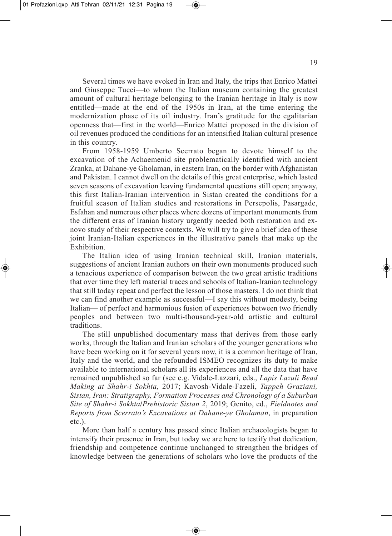Several times we have evoked in Iran and Italy, the trips that Enrico Mattei and Giuseppe Tucci—to whom the Italian museum containing the greatest amount of cultural heritage belonging to the Iranian heritage in Italy is now entitled—made at the end of the 1950s in Iran, at the time entering the modernization phase of its oil industry. Iran's gratitude for the egalitarian openness that—first in the world—Enrico Mattei proposed in the division of oil revenues produced the conditions for an intensified Italian cultural presence in this country.

From 1958-1959 Umberto Scerrato began to devote himself to the excavation of the Achaemenid site problematically identified with ancient Zranka, at Dahane-ye Gholaman, in eastern Iran, on the border with Afghanistan and Pakistan. I cannot dwell on the details of this great enterprise, which lasted seven seasons of excavation leaving fundamental questions still open; anyway, this first Italian-Iranian intervention in Sistan created the conditions for a fruitful season of Italian studies and restorations in Persepolis, Pasargade, Esfahan and numerous other places where dozens of important monuments from the different eras of Iranian history urgently needed both restoration and exnovo study of their respective contexts. We will try to give a brief idea of these joint Iranian-Italian experiences in the illustrative panels that make up the Exhibition.

The Italian idea of using Iranian technical skill, Iranian materials, suggestions of ancient Iranian authors on their own monuments produced such a tenacious experience of comparison between the two great artistic traditions that over time they left material traces and schools of Italian-Iranian technology that still today repeat and perfect the lesson of those masters. I do not think that we can find another example as successful—I say this without modesty, being Italian— of perfect and harmonious fusion of experiences between two friendly peoples and between two multi-thousand-year-old artistic and cultural traditions.

The still unpublished documentary mass that derives from those early works, through the Italian and Iranian scholars of the younger generations who have been working on it for several years now, it is a common heritage of Iran, Italy and the world, and the refounded ISMEO recognizes its duty to make available to international scholars all its experiences and all the data that have remained unpublished so far (see e.g. Vidale-Lazzari, eds., *Lapis Lazuli Bead Making at Shahr-i Sokhta,* 2017; Kavosh-Vidale-Fazeli, *Tappeh Graziani, Sistan, Iran: Stratigraphy, Formation Processes and Chronology of a Suburban Site of Shahr-i Sokhta***/***Prehistoric Sistan 2*, 2019; Genito, ed., *Fieldnotes and Reports from Scerrato's Excavations at Dahane-ye Gholaman*, in preparation etc.).

More than half a century has passed since Italian archaeologists began to intensify their presence in Iran, but today we are here to testify that dedication, friendship and competence continue unchanged to strengthen the bridges of knowledge between the generations of scholars who love the products of the